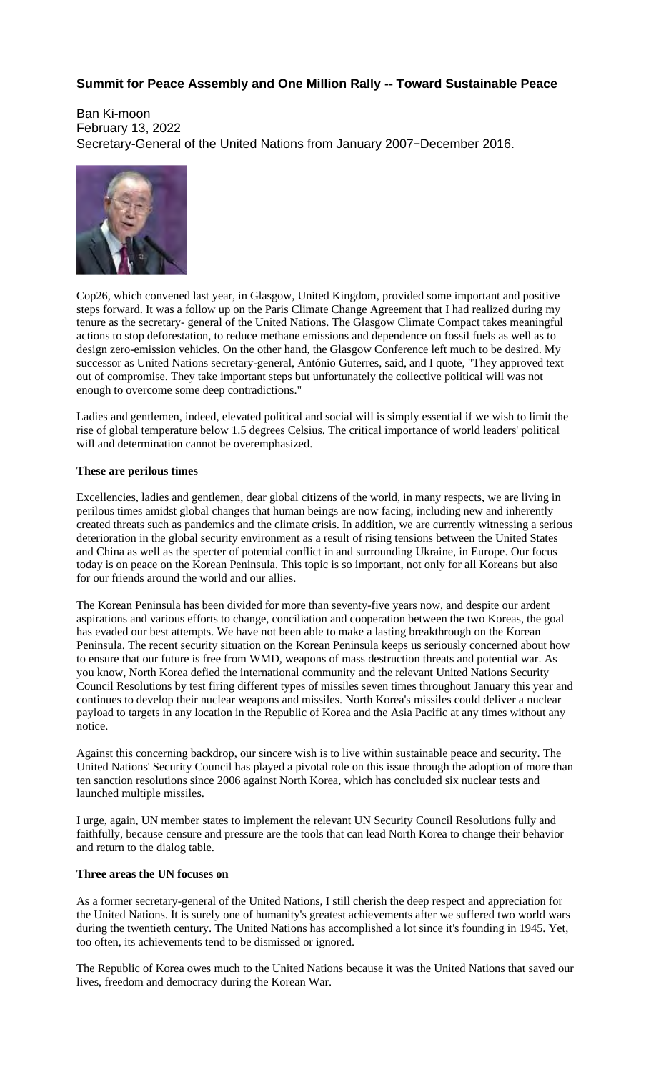## **Summit for Peace Assembly and One Million Rally -- Toward Sustainable Peace**

Ban Ki-moon February 13, 2022 Secretary-General of the United Nations from January 2007-December 2016.



Cop26, which convened last year, in Glasgow, United Kingdom, provided some important and positive steps forward. It was a follow up on the Paris Climate Change Agreement that I had realized during my tenure as the secretary- general of the United Nations. The Glasgow Climate Compact takes meaningful actions to stop deforestation, to reduce methane emissions and dependence on fossil fuels as well as to design zero-emission vehicles. On the other hand, the Glasgow Conference left much to be desired. My successor as United Nations secretary-general, António Guterres, said, and I quote, "They approved text out of compromise. They take important steps but unfortunately the collective political will was not enough to overcome some deep contradictions."

Ladies and gentlemen, indeed, elevated political and social will is simply essential if we wish to limit the rise of global temperature below 1.5 degrees Celsius. The critical importance of world leaders' political will and determination cannot be overemphasized.

## **These are perilous times**

Excellencies, ladies and gentlemen, dear global citizens of the world, in many respects, we are living in perilous times amidst global changes that human beings are now facing, including new and inherently created threats such as pandemics and the climate crisis. In addition, we are currently witnessing a serious deterioration in the global security environment as a result of rising tensions between the United States and China as well as the specter of potential conflict in and surrounding Ukraine, in Europe. Our focus today is on peace on the Korean Peninsula. This topic is so important, not only for all Koreans but also for our friends around the world and our allies.

The Korean Peninsula has been divided for more than seventy-five years now, and despite our ardent aspirations and various efforts to change, conciliation and cooperation between the two Koreas, the goal has evaded our best attempts. We have not been able to make a lasting breakthrough on the Korean Peninsula. The recent security situation on the Korean Peninsula keeps us seriously concerned about how to ensure that our future is free from WMD, weapons of mass destruction threats and potential war. As you know, North Korea defied the international community and the relevant United Nations Security Council Resolutions by test firing different types of missiles seven times throughout January this year and continues to develop their nuclear weapons and missiles. North Korea's missiles could deliver a nuclear payload to targets in any location in the Republic of Korea and the Asia Pacific at any times without any notice.

Against this concerning backdrop, our sincere wish is to live within sustainable peace and security. The United Nations' Security Council has played a pivotal role on this issue through the adoption of more than ten sanction resolutions since 2006 against North Korea, which has concluded six nuclear tests and launched multiple missiles.

I urge, again, UN member states to implement the relevant UN Security Council Resolutions fully and faithfully, because censure and pressure are the tools that can lead North Korea to change their behavior and return to the dialog table.

## **Three areas the UN focuses on**

As a former secretary-general of the United Nations, I still cherish the deep respect and appreciation for the United Nations. It is surely one of humanity's greatest achievements after we suffered two world wars during the twentieth century. The United Nations has accomplished a lot since it's founding in 1945. Yet, too often, its achievements tend to be dismissed or ignored.

The Republic of Korea owes much to the United Nations because it was the United Nations that saved our lives, freedom and democracy during the Korean War.